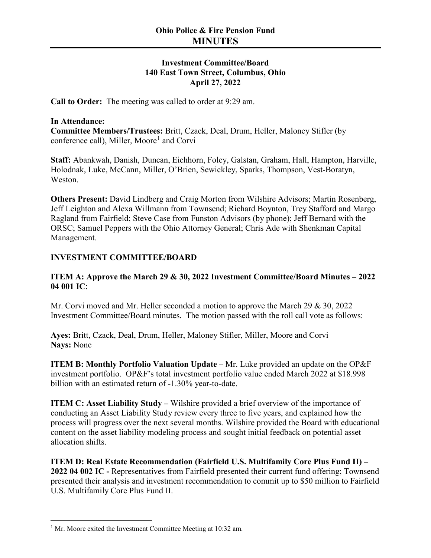## **Investment Committee/Board 140 East Town Street, Columbus, Ohio April 27, 2022**

**Call to Order:** The meeting was called to order at 9:29 am.

#### **In Attendance:**

**Committee Members/Trustees:** Britt, Czack, Deal, Drum, Heller, Maloney Stifler (by conference call), Miller, Moore<sup>[1](#page-0-0)</sup> and Corvi

**Staff:** Abankwah, Danish, Duncan, Eichhorn, Foley, Galstan, Graham, Hall, Hampton, Harville, Holodnak, Luke, McCann, Miller, O'Brien, Sewickley, Sparks, Thompson, Vest-Boratyn, Weston.

**Others Present:** David Lindberg and Craig Morton from Wilshire Advisors; Martin Rosenberg, Jeff Leighton and Alexa Willmann from Townsend; Richard Boynton, Trey Stafford and Margo Ragland from Fairfield; Steve Case from Funston Advisors (by phone); Jeff Bernard with the ORSC; Samuel Peppers with the Ohio Attorney General; Chris Ade with Shenkman Capital Management.

### **INVESTMENT COMMITTEE/BOARD**

### **ITEM A: Approve the March 29 & 30, 2022 Investment Committee/Board Minutes – 2022 04 001 IC**:

Mr. Corvi moved and Mr. Heller seconded a motion to approve the March 29 & 30, 2022 Investment Committee/Board minutes. The motion passed with the roll call vote as follows:

**Ayes:** Britt, Czack, Deal, Drum, Heller, Maloney Stifler, Miller, Moore and Corvi **Nays:** None

**ITEM B: Monthly Portfolio Valuation Update** – Mr. Luke provided an update on the OP&F investment portfolio. OP&F's total investment portfolio value ended March 2022 at \$18.998 billion with an estimated return of -1.30% year-to-date.

**ITEM C: Asset Liability Study –** Wilshire provided a brief overview of the importance of conducting an Asset Liability Study review every three to five years, and explained how the process will progress over the next several months. Wilshire provided the Board with educational content on the asset liability modeling process and sought initial feedback on potential asset allocation shifts.

**ITEM D: Real Estate Recommendation (Fairfield U.S. Multifamily Core Plus Fund II) – 2022 04 002 IC -** Representatives from Fairfield presented their current fund offering; Townsend presented their analysis and investment recommendation to commit up to \$50 million to Fairfield U.S. Multifamily Core Plus Fund II.

<span id="page-0-0"></span> $1$  Mr. Moore exited the Investment Committee Meeting at 10:32 am.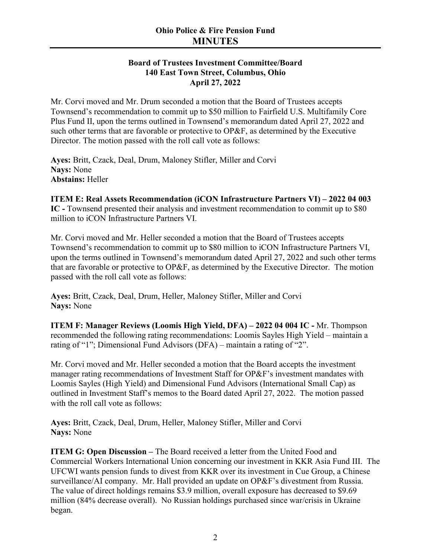# **Ohio Police & Fire Pension Fund MINUTES**

#### **Board of Trustees Investment Committee/Board 140 East Town Street, Columbus, Ohio April 27, 2022**

Mr. Corvi moved and Mr. Drum seconded a motion that the Board of Trustees accepts Townsend's recommendation to commit up to \$50 million to Fairfield U.S. Multifamily Core Plus Fund II, upon the terms outlined in Townsend's memorandum dated April 27, 2022 and such other terms that are favorable or protective to OP&F, as determined by the Executive Director. The motion passed with the roll call vote as follows:

**Ayes:** Britt, Czack, Deal, Drum, Maloney Stifler, Miller and Corvi **Nays:** None **Abstains:** Heller

**ITEM E: Real Assets Recommendation (iCON Infrastructure Partners VI) – 2022 04 003 IC -** Townsend presented their analysis and investment recommendation to commit up to \$80 million to iCON Infrastructure Partners VI.

Mr. Corvi moved and Mr. Heller seconded a motion that the Board of Trustees accepts Townsend's recommendation to commit up to \$80 million to iCON Infrastructure Partners VI, upon the terms outlined in Townsend's memorandum dated April 27, 2022 and such other terms that are favorable or protective to OP&F, as determined by the Executive Director. The motion passed with the roll call vote as follows:

**Ayes:** Britt, Czack, Deal, Drum, Heller, Maloney Stifler, Miller and Corvi **Nays:** None

**ITEM F: Manager Reviews (Loomis High Yield, DFA) – 2022 04 004 IC -** Mr. Thompson recommended the following rating recommendations: Loomis Sayles High Yield – maintain a rating of "1"; Dimensional Fund Advisors (DFA) – maintain a rating of "2".

Mr. Corvi moved and Mr. Heller seconded a motion that the Board accepts the investment manager rating recommendations of Investment Staff for OP&F's investment mandates with Loomis Sayles (High Yield) and Dimensional Fund Advisors (International Small Cap) as outlined in Investment Staff's memos to the Board dated April 27, 2022. The motion passed with the roll call vote as follows:

**Ayes:** Britt, Czack, Deal, Drum, Heller, Maloney Stifler, Miller and Corvi **Nays:** None

**ITEM G: Open Discussion – The Board received a letter from the United Food and** Commercial Workers International Union concerning our investment in KKR Asia Fund III. The UFCWI wants pension funds to divest from KKR over its investment in Cue Group, a Chinese surveillance/AI company. Mr. Hall provided an update on OP&F's divestment from Russia. The value of direct holdings remains \$3.9 million, overall exposure has decreased to \$9.69 million (84% decrease overall). No Russian holdings purchased since war/crisis in Ukraine began.